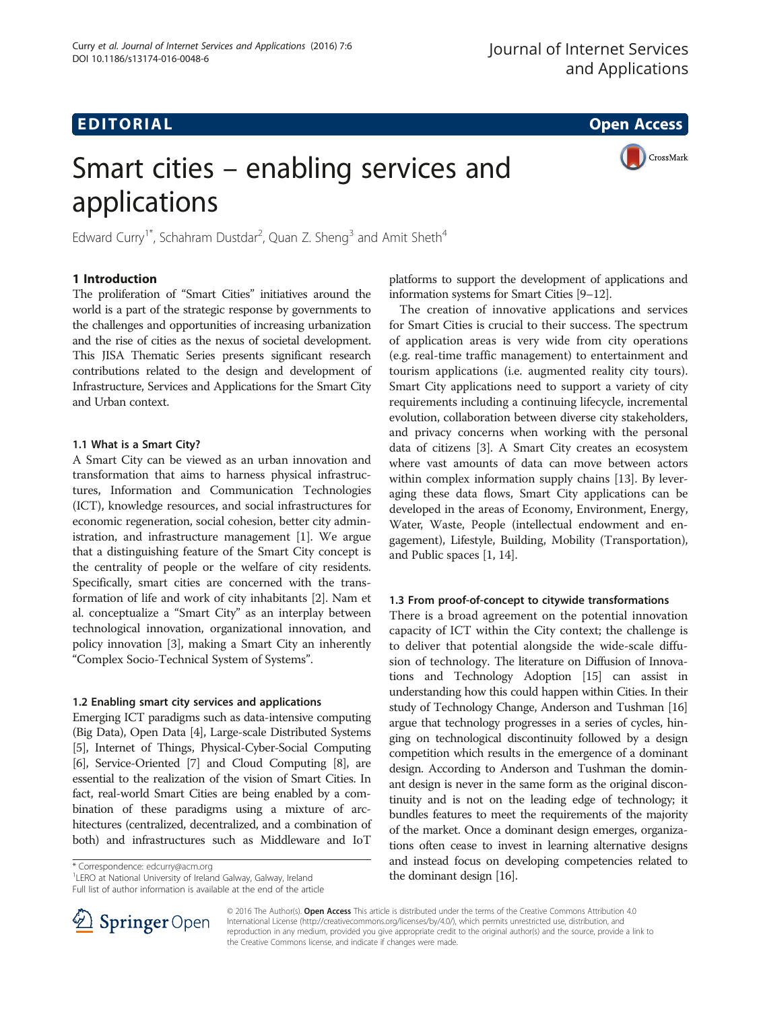CrossMark

## **EDITORIAL** CONTROL CONTROL CONTROL CONTROL CONTROL CONTROL CONTROL CONTROL CONTROL CONTROL CONTROL CONTROL CONTROL CONTROL CONTROL CONTROL CONTROL CONTROL CONTROL CONTROL CONTROL CONTROL CONTROL CONTROL CONTROL CONTROL CO

# Smart cities – enabling services and applications

Edward Curry<sup>1\*</sup>, Schahram Dustdar<sup>2</sup>, Quan Z. Sheng<sup>3</sup> and Amit Sheth<sup>4</sup>

#### 1 Introduction

The proliferation of "Smart Cities" initiatives around the world is a part of the strategic response by governments to the challenges and opportunities of increasing urbanization and the rise of cities as the nexus of societal development. This JISA Thematic Series presents significant research contributions related to the design and development of Infrastructure, Services and Applications for the Smart City and Urban context.

#### 1.1 What is a Smart City?

A Smart City can be viewed as an urban innovation and transformation that aims to harness physical infrastructures, Information and Communication Technologies (ICT), knowledge resources, and social infrastructures for economic regeneration, social cohesion, better city administration, and infrastructure management [[1\]](#page-2-0). We argue that a distinguishing feature of the Smart City concept is the centrality of people or the welfare of city residents. Specifically, smart cities are concerned with the transformation of life and work of city inhabitants [[2\]](#page-2-0). Nam et al. conceptualize a "Smart City" as an interplay between technological innovation, organizational innovation, and policy innovation [[3\]](#page-2-0), making a Smart City an inherently "Complex Socio-Technical System of Systems".

### 1.2 Enabling smart city services and applications

Emerging ICT paradigms such as data-intensive computing (Big Data), Open Data [[4](#page-2-0)], Large-scale Distributed Systems [[5](#page-2-0)], Internet of Things, Physical-Cyber-Social Computing [[6](#page-2-0)], Service-Oriented [\[7\]](#page-2-0) and Cloud Computing [[8](#page-2-0)], are essential to the realization of the vision of Smart Cities. In fact, real-world Smart Cities are being enabled by a combination of these paradigms using a mixture of architectures (centralized, decentralized, and a combination of both) and infrastructures such as Middleware and IoT

Full list of author information is available at the end of the article



The creation of innovative applications and services for Smart Cities is crucial to their success. The spectrum of application areas is very wide from city operations (e.g. real-time traffic management) to entertainment and tourism applications (i.e. augmented reality city tours). Smart City applications need to support a variety of city requirements including a continuing lifecycle, incremental evolution, collaboration between diverse city stakeholders, and privacy concerns when working with the personal data of citizens [[3\]](#page-2-0). A Smart City creates an ecosystem where vast amounts of data can move between actors within complex information supply chains [\[13\]](#page-2-0). By leveraging these data flows, Smart City applications can be developed in the areas of Economy, Environment, Energy, Water, Waste, People (intellectual endowment and engagement), Lifestyle, Building, Mobility (Transportation), and Public spaces [[1, 14](#page-2-0)].

#### 1.3 From proof-of-concept to citywide transformations

There is a broad agreement on the potential innovation capacity of ICT within the City context; the challenge is to deliver that potential alongside the wide-scale diffusion of technology. The literature on Diffusion of Innovations and Technology Adoption [[15](#page-2-0)] can assist in understanding how this could happen within Cities. In their study of Technology Change, Anderson and Tushman [\[16](#page-2-0)] argue that technology progresses in a series of cycles, hinging on technological discontinuity followed by a design competition which results in the emergence of a dominant design. According to Anderson and Tushman the dominant design is never in the same form as the original discontinuity and is not on the leading edge of technology; it bundles features to meet the requirements of the majority of the market. Once a dominant design emerges, organizations often cease to invest in learning alternative designs and instead focus on developing competencies related to \* Correspondence: [edcurry@acm.org](mailto:edcurry@acm.org) 1 and 1990 and 1990 and 1990 and 1990 and 1990 and 1990 and 1990 and 1990 and 1990 and 1990 and 1990 and 1990 and 1990 and 1990 and 1990 and 1990 and 1990 and 1990 and 1990 and 1990 and 19



© 2016 The Author(s). Open Access This article is distributed under the terms of the Creative Commons Attribution 4.0 International License ([http://creativecommons.org/licenses/by/4.0/\)](http://creativecommons.org/licenses/by/4.0/), which permits unrestricted use, distribution, and reproduction in any medium, provided you give appropriate credit to the original author(s) and the source, provide a link to the Creative Commons license, and indicate if changes were made.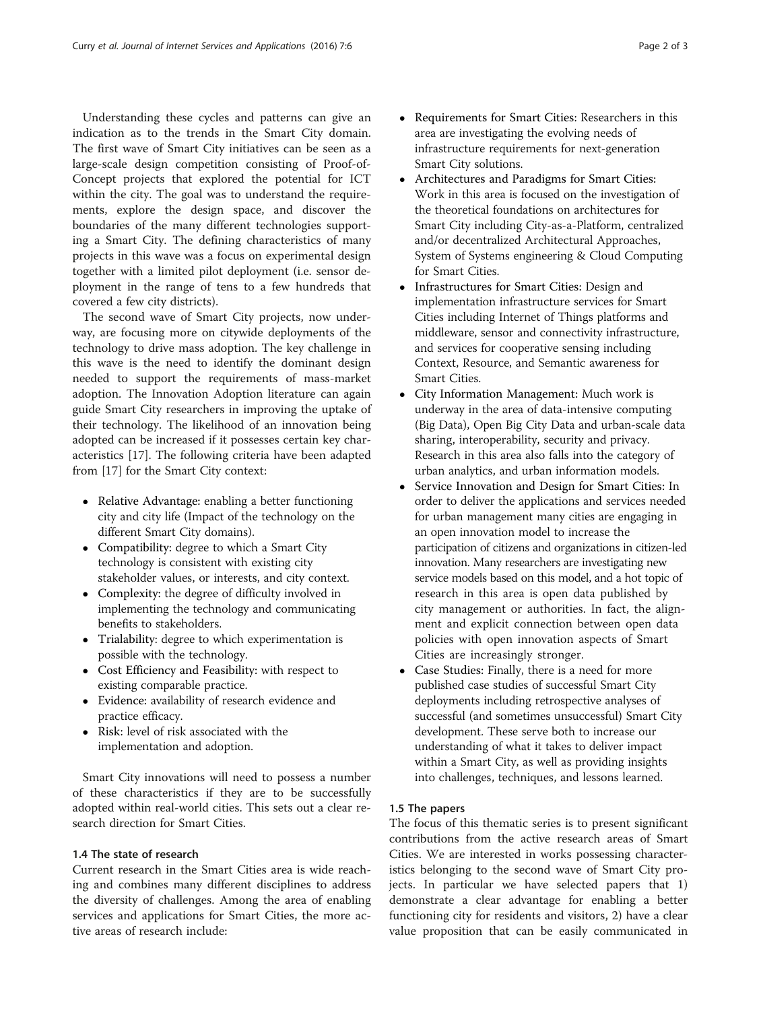Understanding these cycles and patterns can give an indication as to the trends in the Smart City domain. The first wave of Smart City initiatives can be seen as a large-scale design competition consisting of Proof-of-Concept projects that explored the potential for ICT within the city. The goal was to understand the requirements, explore the design space, and discover the boundaries of the many different technologies supporting a Smart City. The defining characteristics of many projects in this wave was a focus on experimental design together with a limited pilot deployment (i.e. sensor deployment in the range of tens to a few hundreds that covered a few city districts).

The second wave of Smart City projects, now underway, are focusing more on citywide deployments of the technology to drive mass adoption. The key challenge in this wave is the need to identify the dominant design needed to support the requirements of mass-market adoption. The Innovation Adoption literature can again guide Smart City researchers in improving the uptake of their technology. The likelihood of an innovation being adopted can be increased if it possesses certain key characteristics [\[17](#page-2-0)]. The following criteria have been adapted from [[17](#page-2-0)] for the Smart City context:

- Relative Advantage: enabling a better functioning city and city life (Impact of the technology on the different Smart City domains).
- Compatibility: degree to which a Smart City technology is consistent with existing city stakeholder values, or interests, and city context.
- Complexity: the degree of difficulty involved in implementing the technology and communicating benefits to stakeholders.
- Trialability: degree to which experimentation is possible with the technology.
- Cost Efficiency and Feasibility: with respect to existing comparable practice.
- Evidence: availability of research evidence and practice efficacy.
- Risk: level of risk associated with the implementation and adoption.

Smart City innovations will need to possess a number of these characteristics if they are to be successfully adopted within real-world cities. This sets out a clear research direction for Smart Cities.

#### 1.4 The state of research

Current research in the Smart Cities area is wide reaching and combines many different disciplines to address the diversity of challenges. Among the area of enabling services and applications for Smart Cities, the more active areas of research include:

- Requirements for Smart Cities: Researchers in this area are investigating the evolving needs of infrastructure requirements for next-generation Smart City solutions.
- Architectures and Paradigms for Smart Cities: Work in this area is focused on the investigation of the theoretical foundations on architectures for Smart City including City-as-a-Platform, centralized and/or decentralized Architectural Approaches, System of Systems engineering & Cloud Computing for Smart Cities.
- Infrastructures for Smart Cities: Design and implementation infrastructure services for Smart Cities including Internet of Things platforms and middleware, sensor and connectivity infrastructure, and services for cooperative sensing including Context, Resource, and Semantic awareness for Smart Cities.
- City Information Management: Much work is underway in the area of data-intensive computing (Big Data), Open Big City Data and urban-scale data sharing, interoperability, security and privacy. Research in this area also falls into the category of urban analytics, and urban information models.
- Service Innovation and Design for Smart Cities: In order to deliver the applications and services needed for urban management many cities are engaging in an open innovation model to increase the participation of citizens and organizations in citizen-led innovation. Many researchers are investigating new service models based on this model, and a hot topic of research in this area is open data published by city management or authorities. In fact, the alignment and explicit connection between open data policies with open innovation aspects of Smart Cities are increasingly stronger.
- Case Studies: Finally, there is a need for more published case studies of successful Smart City deployments including retrospective analyses of successful (and sometimes unsuccessful) Smart City development. These serve both to increase our understanding of what it takes to deliver impact within a Smart City, as well as providing insights into challenges, techniques, and lessons learned.

#### 1.5 The papers

The focus of this thematic series is to present significant contributions from the active research areas of Smart Cities. We are interested in works possessing characteristics belonging to the second wave of Smart City projects. In particular we have selected papers that 1) demonstrate a clear advantage for enabling a better functioning city for residents and visitors, 2) have a clear value proposition that can be easily communicated in